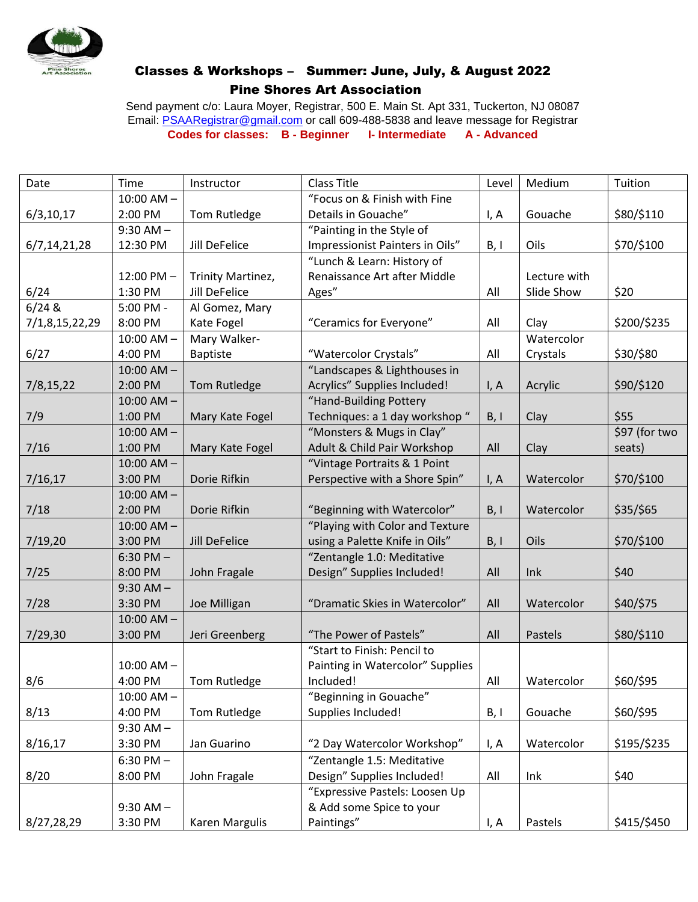

## Classes & Workshops – Summer: June, July, & August 2022 Pine Shores Art Association

Send payment c/o: Laura Moyer, Registrar, 500 E. Main St. Apt 331, Tuckerton, NJ 08087 Email: [PSAARegistrar@gmail.com](mailto:PSAARegistrar@gmail.com) or call 609-488-5838 and leave message for Registrar **Codes for classes: B - Beginner I- Intermediate A - Advanced**

| Date           | Time           | Instructor           | <b>Class Title</b>               | Level | Medium       | Tuition       |
|----------------|----------------|----------------------|----------------------------------|-------|--------------|---------------|
|                | $10:00$ AM $-$ |                      | "Focus on & Finish with Fine     |       |              |               |
| 6/3, 10, 17    | 2:00 PM        | Tom Rutledge         | Details in Gouache"              | I, A  | Gouache      | \$80/\$110    |
|                | $9:30$ AM $-$  |                      | "Painting in the Style of        |       |              |               |
| 6/7,14,21,28   | 12:30 PM       | Jill DeFelice        | Impressionist Painters in Oils"  | B, I  | Oils         | \$70/\$100    |
|                |                |                      | "Lunch & Learn: History of       |       |              |               |
|                | 12:00 PM-      | Trinity Martinez,    | Renaissance Art after Middle     |       | Lecture with |               |
| 6/24           | 1:30 PM        | <b>Jill DeFelice</b> | Ages"                            | All   | Slide Show   | \$20          |
| 6/248          | 5:00 PM -      | Al Gomez, Mary       |                                  |       |              |               |
| 7/1,8,15,22,29 | 8:00 PM        | Kate Fogel           | "Ceramics for Everyone"          | All   | Clay         | \$200/\$235   |
|                | $10:00$ AM $-$ | Mary Walker-         |                                  |       | Watercolor   |               |
| 6/27           | 4:00 PM        | <b>Baptiste</b>      | "Watercolor Crystals"            | All   | Crystals     | \$30/\$80     |
|                | $10:00$ AM $-$ |                      | "Landscapes & Lighthouses in     |       |              |               |
| 7/8,15,22      | 2:00 PM        | Tom Rutledge         | Acrylics" Supplies Included!     | I, A  | Acrylic      | \$90/\$120    |
|                | $10:00$ AM $-$ |                      | "Hand-Building Pottery           |       |              |               |
| 7/9            | 1:00 PM        | Mary Kate Fogel      | Techniques: a 1 day workshop "   | B, I  | Clay         | \$55          |
|                | $10:00$ AM $-$ |                      | "Monsters & Mugs in Clay"        |       |              | \$97 (for two |
| 7/16           | 1:00 PM        | Mary Kate Fogel      | Adult & Child Pair Workshop      | All   | Clay         | seats)        |
|                | $10:00$ AM $-$ |                      | "Vintage Portraits & 1 Point     |       |              |               |
| 7/16,17        | 3:00 PM        | Dorie Rifkin         | Perspective with a Shore Spin"   | I, A  | Watercolor   | \$70/\$100    |
|                | $10:00$ AM $-$ |                      |                                  |       |              |               |
| 7/18           | 2:00 PM        | Dorie Rifkin         | "Beginning with Watercolor"      | B, I  | Watercolor   | \$35/\$65     |
|                | $10:00$ AM $-$ |                      | "Playing with Color and Texture  |       |              |               |
| 7/19,20        | 3:00 PM        | <b>Jill DeFelice</b> | using a Palette Knife in Oils"   | B, I  | Oils         | \$70/\$100    |
|                | $6:30$ PM $-$  |                      | "Zentangle 1.0: Meditative       |       |              |               |
| 7/25           | 8:00 PM        | John Fragale         | Design" Supplies Included!       | All   | Ink          | \$40          |
|                | $9:30$ AM $-$  |                      |                                  |       |              |               |
| 7/28           | 3:30 PM        | Joe Milligan         | "Dramatic Skies in Watercolor"   | All   | Watercolor   | \$40/\$75     |
|                | $10:00$ AM $-$ |                      |                                  |       |              |               |
| 7/29,30        | 3:00 PM        | Jeri Greenberg       | "The Power of Pastels"           | All   | Pastels      | \$80/\$110    |
|                |                |                      | "Start to Finish: Pencil to      |       |              |               |
|                | $10:00$ AM $-$ |                      | Painting in Watercolor" Supplies |       |              |               |
| 8/6            | 4:00 PM        | Tom Rutledge         | Included!                        | All   | Watercolor   | \$60/\$95     |
|                | $10:00$ AM $-$ |                      | "Beginning in Gouache"           |       |              |               |
| 8/13           | 4:00 PM        | Tom Rutledge         | Supplies Included!               | B, I  | Gouache      | \$60/\$95     |
|                | $9:30$ AM $-$  |                      |                                  |       |              |               |
| 8/16,17        | 3:30 PM        | Jan Guarino          | "2 Day Watercolor Workshop"      | I, A  | Watercolor   | \$195/\$235   |
|                | $6:30$ PM $-$  |                      | "Zentangle 1.5: Meditative       |       |              |               |
| 8/20           | 8:00 PM        | John Fragale         | Design" Supplies Included!       | All   | Ink          | \$40          |
|                |                |                      | "Expressive Pastels: Loosen Up   |       |              |               |
|                | $9:30$ AM $-$  |                      | & Add some Spice to your         |       |              |               |
| 8/27,28,29     | 3:30 PM        | Karen Margulis       | Paintings"                       | I, A  | Pastels      | \$415/\$450   |